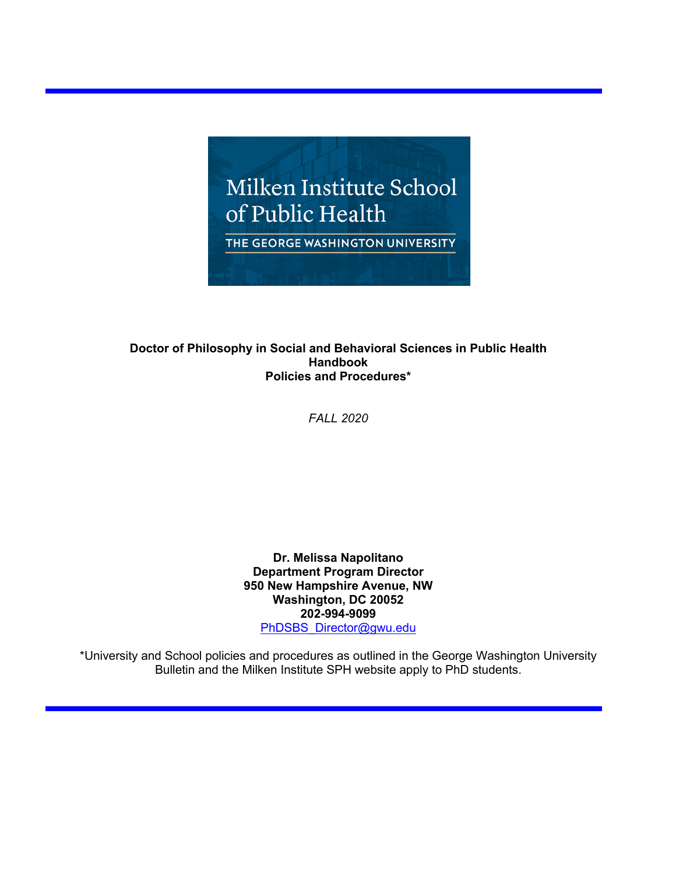

## **Doctor of Philosophy in Social and Behavioral Sciences in Public Health Handbook Policies and Procedures\***

*FALL 2020*

**Dr. Melissa Napolitano Department Program Director 950 New Hampshire Avenue, NW Washington, DC 20052 202-994-9099** PhDSBS\_Director@gwu.edu

\*University and School policies and procedures as outlined in the George Washington University Bulletin and the Milken Institute SPH website apply to PhD students.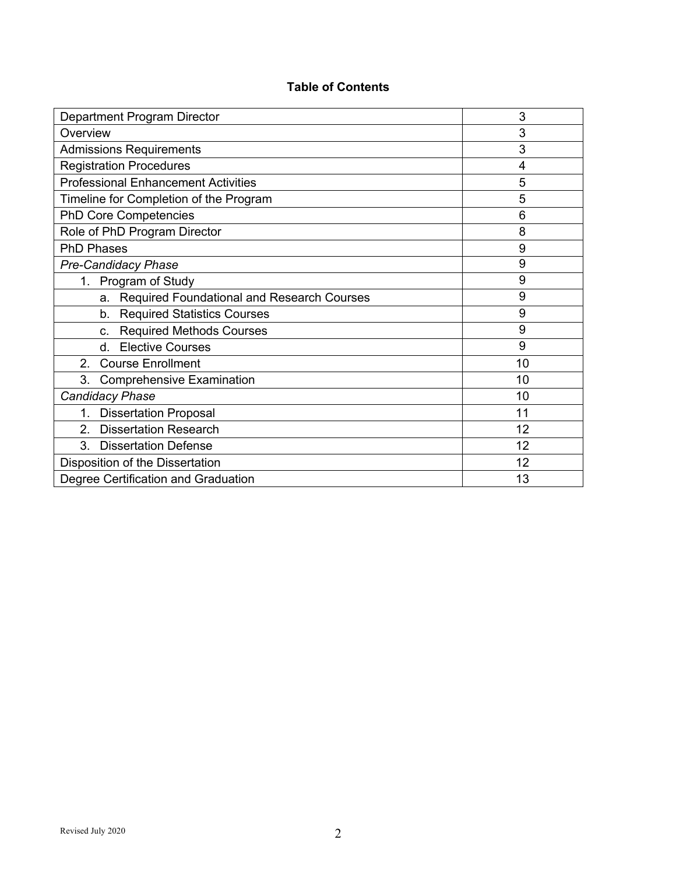# **Table of Contents**

| Department Program Director                      | 3  |
|--------------------------------------------------|----|
| Overview                                         | 3  |
| <b>Admissions Requirements</b>                   | 3  |
| <b>Registration Procedures</b>                   | 4  |
| <b>Professional Enhancement Activities</b>       | 5  |
| Timeline for Completion of the Program           | 5  |
| <b>PhD Core Competencies</b>                     | 6  |
| Role of PhD Program Director                     | 8  |
| <b>PhD Phases</b>                                | 9  |
| <b>Pre-Candidacy Phase</b>                       | 9  |
| Program of Study<br>1.                           | 9  |
| Required Foundational and Research Courses<br>a. | 9  |
| <b>Required Statistics Courses</b><br>b.         | 9  |
| <b>Required Methods Courses</b><br>C.            | 9  |
| <b>Elective Courses</b><br>$d_{\cdot}$           | 9  |
| <b>Course Enrollment</b><br>2.                   | 10 |
| 3.<br><b>Comprehensive Examination</b>           | 10 |
| <b>Candidacy Phase</b>                           | 10 |
| <b>Dissertation Proposal</b><br>1.               | 11 |
| <b>Dissertation Research</b><br>2.               | 12 |
| 3.<br><b>Dissertation Defense</b>                | 12 |
| Disposition of the Dissertation                  | 12 |
| Degree Certification and Graduation              | 13 |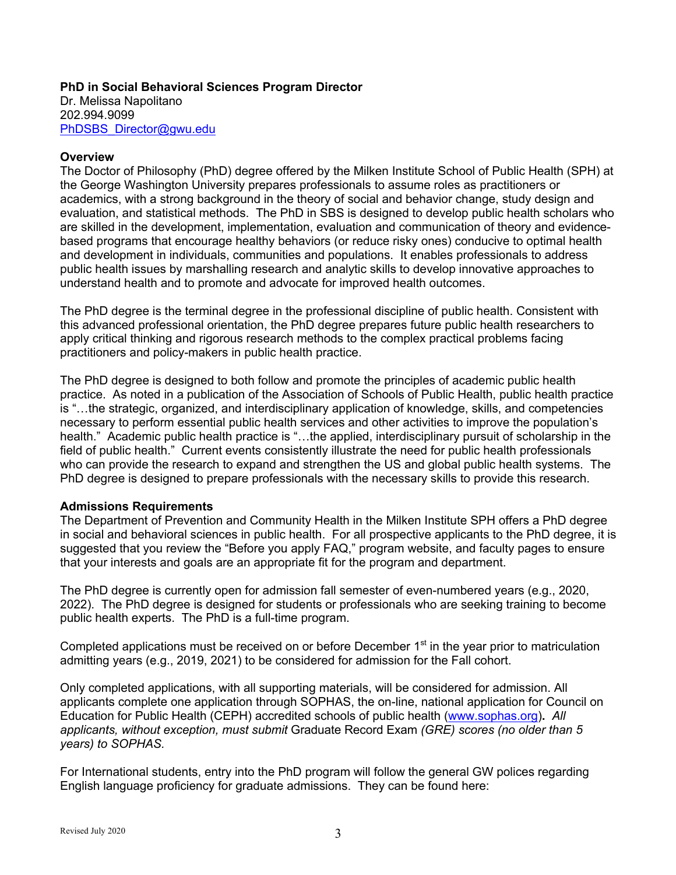# **PhD in Social Behavioral Sciences Program Director**

Dr. Melissa Napolitano 202.994.9099 PhDSBS\_Director@gwu.edu

#### **Overview**

The Doctor of Philosophy (PhD) degree offered by the Milken Institute School of Public Health (SPH) at the George Washington University prepares professionals to assume roles as practitioners or academics, with a strong background in the theory of social and behavior change, study design and evaluation, and statistical methods. The PhD in SBS is designed to develop public health scholars who are skilled in the development, implementation, evaluation and communication of theory and evidencebased programs that encourage healthy behaviors (or reduce risky ones) conducive to optimal health and development in individuals, communities and populations. It enables professionals to address public health issues by marshalling research and analytic skills to develop innovative approaches to understand health and to promote and advocate for improved health outcomes.

The PhD degree is the terminal degree in the professional discipline of public health. Consistent with this advanced professional orientation, the PhD degree prepares future public health researchers to apply critical thinking and rigorous research methods to the complex practical problems facing practitioners and policy-makers in public health practice.

The PhD degree is designed to both follow and promote the principles of academic public health practice. As noted in a publication of the Association of Schools of Public Health, public health practice is "…the strategic, organized, and interdisciplinary application of knowledge, skills, and competencies necessary to perform essential public health services and other activities to improve the population's health." Academic public health practice is "...the applied, interdisciplinary pursuit of scholarship in the field of public health." Current events consistently illustrate the need for public health professionals who can provide the research to expand and strengthen the US and global public health systems. The PhD degree is designed to prepare professionals with the necessary skills to provide this research.

## **Admissions Requirements**

The Department of Prevention and Community Health in the Milken Institute SPH offers a PhD degree in social and behavioral sciences in public health. For all prospective applicants to the PhD degree, it is suggested that you review the "Before you apply FAQ," program website, and faculty pages to ensure that your interests and goals are an appropriate fit for the program and department.

The PhD degree is currently open for admission fall semester of even-numbered years (e.g., 2020, 2022). The PhD degree is designed for students or professionals who are seeking training to become public health experts. The PhD is a full-time program.

Completed applications must be received on or before December 1<sup>st</sup> in the year prior to matriculation admitting years (e.g., 2019, 2021) to be considered for admission for the Fall cohort.

Only completed applications, with all supporting materials, will be considered for admission. All applicants complete one application through SOPHAS, the on-line, national application for Council on Education for Public Health (CEPH) accredited schools of public health (www.sophas.org)**.** *All applicants, without exception, must submit* Graduate Record Exam *(GRE) scores (no older than 5 years) to SOPHAS.*

For International students, entry into the PhD program will follow the general GW polices regarding English language proficiency for graduate admissions. They can be found here: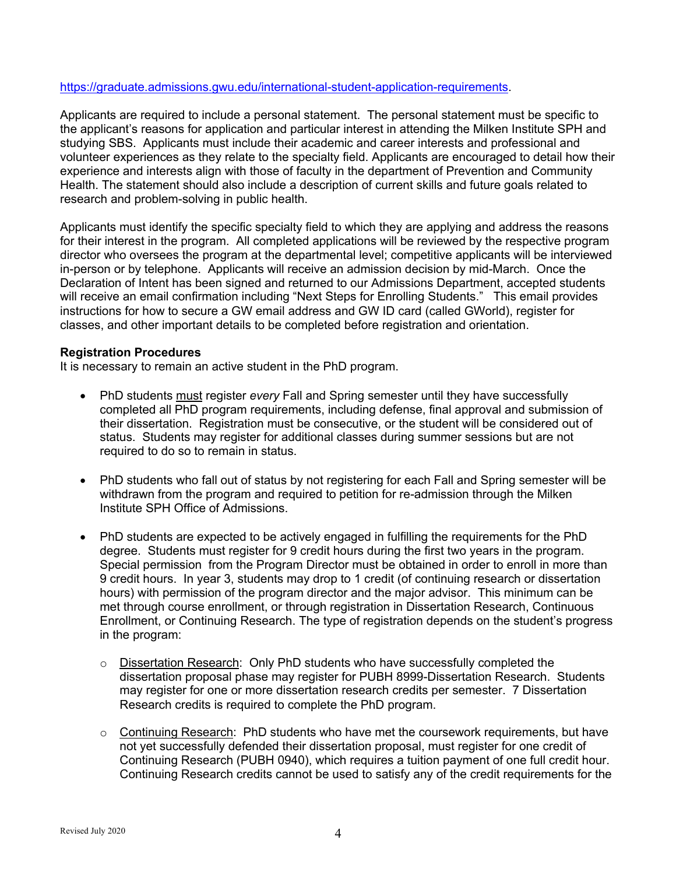#### https://graduate.admissions.gwu.edu/international-student-application-requirements.

Applicants are required to include a personal statement. The personal statement must be specific to the applicant's reasons for application and particular interest in attending the Milken Institute SPH and studying SBS. Applicants must include their academic and career interests and professional and volunteer experiences as they relate to the specialty field. Applicants are encouraged to detail how their experience and interests align with those of faculty in the department of Prevention and Community Health. The statement should also include a description of current skills and future goals related to research and problem-solving in public health.

Applicants must identify the specific specialty field to which they are applying and address the reasons for their interest in the program. All completed applications will be reviewed by the respective program director who oversees the program at the departmental level; competitive applicants will be interviewed in-person or by telephone. Applicants will receive an admission decision by mid-March. Once the Declaration of Intent has been signed and returned to our Admissions Department, accepted students will receive an email confirmation including "Next Steps for Enrolling Students." This email provides instructions for how to secure a GW email address and GW ID card (called GWorld), register for classes, and other important details to be completed before registration and orientation.

#### **Registration Procedures**

It is necessary to remain an active student in the PhD program.

- PhD students must register *every* Fall and Spring semester until they have successfully completed all PhD program requirements, including defense, final approval and submission of their dissertation. Registration must be consecutive, or the student will be considered out of status. Students may register for additional classes during summer sessions but are not required to do so to remain in status.
- PhD students who fall out of status by not registering for each Fall and Spring semester will be withdrawn from the program and required to petition for re-admission through the Milken Institute SPH Office of Admissions.
- PhD students are expected to be actively engaged in fulfilling the requirements for the PhD degree. Students must register for 9 credit hours during the first two years in the program. Special permission from the Program Director must be obtained in order to enroll in more than 9 credit hours. In year 3, students may drop to 1 credit (of continuing research or dissertation hours) with permission of the program director and the major advisor. This minimum can be met through course enrollment, or through registration in Dissertation Research, Continuous Enrollment, or Continuing Research. The type of registration depends on the student's progress in the program:
	- o Dissertation Research: Only PhD students who have successfully completed the dissertation proposal phase may register for PUBH 8999-Dissertation Research. Students may register for one or more dissertation research credits per semester. 7 Dissertation Research credits is required to complete the PhD program.
	- $\circ$  Continuing Research: PhD students who have met the coursework requirements, but have not yet successfully defended their dissertation proposal, must register for one credit of Continuing Research (PUBH 0940), which requires a tuition payment of one full credit hour. Continuing Research credits cannot be used to satisfy any of the credit requirements for the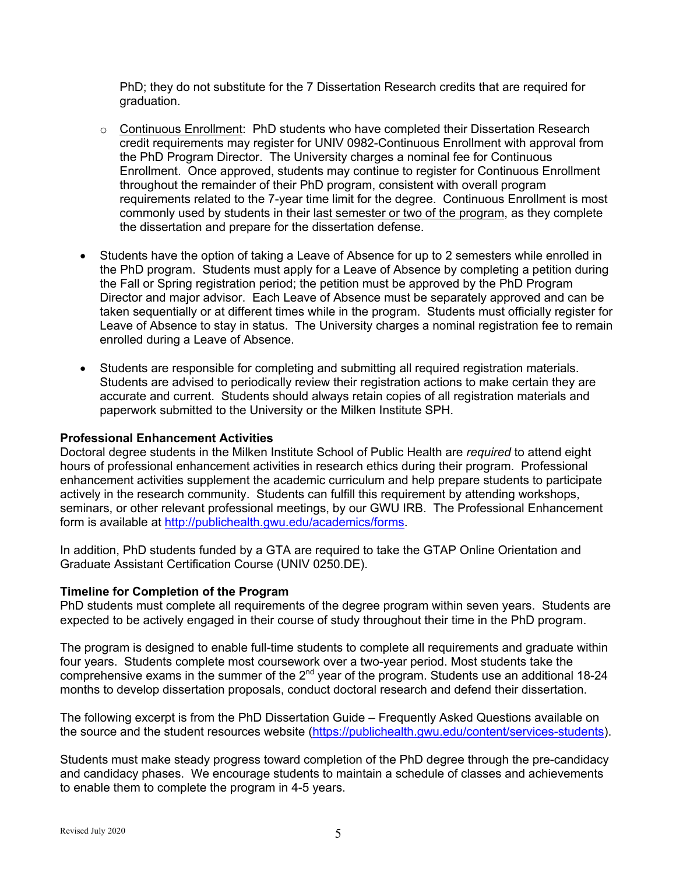PhD; they do not substitute for the 7 Dissertation Research credits that are required for graduation.

- $\circ$  Continuous Enrollment: PhD students who have completed their Dissertation Research credit requirements may register for UNIV 0982-Continuous Enrollment with approval from the PhD Program Director. The University charges a nominal fee for Continuous Enrollment. Once approved, students may continue to register for Continuous Enrollment throughout the remainder of their PhD program, consistent with overall program requirements related to the 7-year time limit for the degree. Continuous Enrollment is most commonly used by students in their last semester or two of the program, as they complete the dissertation and prepare for the dissertation defense.
- Students have the option of taking a Leave of Absence for up to 2 semesters while enrolled in the PhD program. Students must apply for a Leave of Absence by completing a petition during the Fall or Spring registration period; the petition must be approved by the PhD Program Director and major advisor. Each Leave of Absence must be separately approved and can be taken sequentially or at different times while in the program. Students must officially register for Leave of Absence to stay in status. The University charges a nominal registration fee to remain enrolled during a Leave of Absence.
- Students are responsible for completing and submitting all required registration materials. Students are advised to periodically review their registration actions to make certain they are accurate and current. Students should always retain copies of all registration materials and paperwork submitted to the University or the Milken Institute SPH.

#### **Professional Enhancement Activities**

Doctoral degree students in the Milken Institute School of Public Health are *required* to attend eight hours of professional enhancement activities in research ethics during their program. Professional enhancement activities supplement the academic curriculum and help prepare students to participate actively in the research community. Students can fulfill this requirement by attending workshops, seminars, or other relevant professional meetings, by our GWU IRB. The Professional Enhancement form is available at http://publichealth.gwu.edu/academics/forms.

In addition, PhD students funded by a GTA are required to take the GTAP Online Orientation and Graduate Assistant Certification Course (UNIV 0250.DE).

#### **Timeline for Completion of the Program**

PhD students must complete all requirements of the degree program within seven years. Students are expected to be actively engaged in their course of study throughout their time in the PhD program.

The program is designed to enable full-time students to complete all requirements and graduate within four years. Students complete most coursework over a two-year period. Most students take the comprehensive exams in the summer of the  $2^{nd}$  year of the program. Students use an additional 18-24 months to develop dissertation proposals, conduct doctoral research and defend their dissertation.

The following excerpt is from the PhD Dissertation Guide – Frequently Asked Questions available on the source and the student resources website (https://publichealth.gwu.edu/content/services-students).

Students must make steady progress toward completion of the PhD degree through the pre-candidacy and candidacy phases. We encourage students to maintain a schedule of classes and achievements to enable them to complete the program in 4-5 years.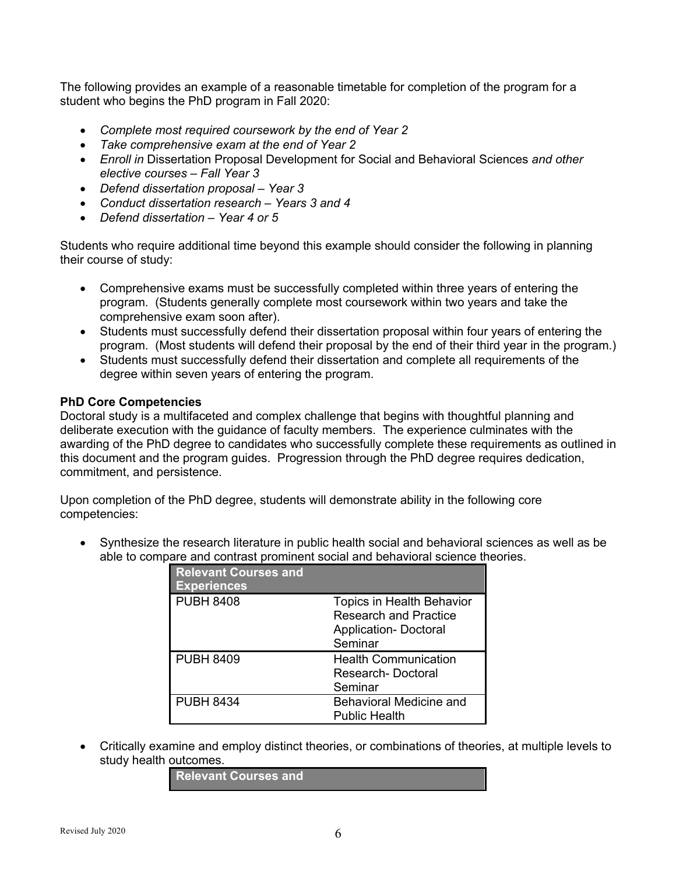The following provides an example of a reasonable timetable for completion of the program for a student who begins the PhD program in Fall 2020:

- *Complete most required coursework by the end of Year 2*
- *Take comprehensive exam at the end of Year 2*
- *Enroll in* Dissertation Proposal Development for Social and Behavioral Sciences *and other elective courses – Fall Year 3*
- *Defend dissertation proposal – Year 3*
- *Conduct dissertation research – Years 3 and 4*
- *Defend dissertation – Year 4 or 5*

Students who require additional time beyond this example should consider the following in planning their course of study:

- Comprehensive exams must be successfully completed within three years of entering the program. (Students generally complete most coursework within two years and take the comprehensive exam soon after).
- Students must successfully defend their dissertation proposal within four years of entering the program. (Most students will defend their proposal by the end of their third year in the program.)
- Students must successfully defend their dissertation and complete all requirements of the degree within seven years of entering the program.

## **PhD Core Competencies**

Doctoral study is a multifaceted and complex challenge that begins with thoughtful planning and deliberate execution with the guidance of faculty members. The experience culminates with the awarding of the PhD degree to candidates who successfully complete these requirements as outlined in this document and the program guides. Progression through the PhD degree requires dedication, commitment, and persistence.

Upon completion of the PhD degree, students will demonstrate ability in the following core competencies:

• Synthesize the research literature in public health social and behavioral sciences as well as be able to compare and contrast prominent social and behavioral science theories.

| <b>Relevant Courses and</b><br><b>Experiences</b> |                              |
|---------------------------------------------------|------------------------------|
| <b>PUBH 8408</b>                                  | Topics in Health Behavior    |
|                                                   | <b>Research and Practice</b> |
|                                                   | <b>Application- Doctoral</b> |
|                                                   | Seminar                      |
| <b>PUBH 8409</b>                                  | <b>Health Communication</b>  |
|                                                   | Research-Doctoral            |
|                                                   | Seminar                      |
| <b>PUBH 8434</b>                                  | Behavioral Medicine and      |
|                                                   | <b>Public Health</b>         |

• Critically examine and employ distinct theories, or combinations of theories, at multiple levels to study health outcomes.

**Relevant Courses and**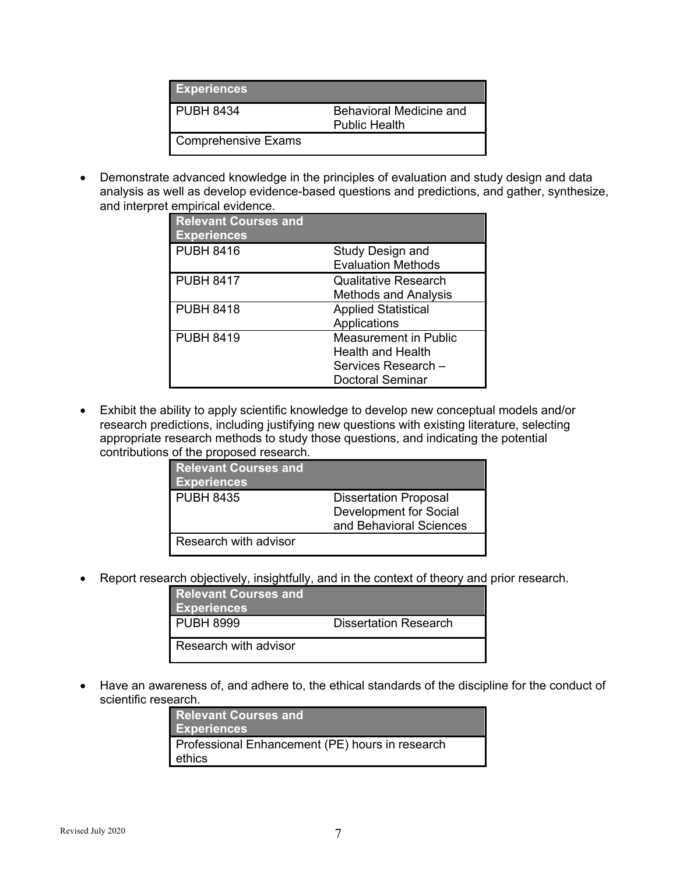| <b>Experiences</b>         |                                                 |
|----------------------------|-------------------------------------------------|
| <b>PUBH 8434</b>           | Behavioral Medicine and<br><b>Public Health</b> |
| <b>Comprehensive Exams</b> |                                                 |

• Demonstrate advanced knowledge in the principles of evaluation and study design and data analysis as well as develop evidence-based questions and predictions, and gather, synthesize, and interpret empirical evidence.

| <b>Relevant Courses and</b><br><b>Experiences</b> |                                                                                                            |
|---------------------------------------------------|------------------------------------------------------------------------------------------------------------|
| <b>PUBH 8416</b>                                  | Study Design and<br><b>Evaluation Methods</b>                                                              |
| <b>PUBH 8417</b>                                  | <b>Qualitative Research</b><br><b>Methods and Analysis</b>                                                 |
| <b>PUBH 8418</b>                                  | <b>Applied Statistical</b><br>Applications                                                                 |
| <b>PUBH 8419</b>                                  | <b>Measurement in Public</b><br><b>Health and Health</b><br>Services Research -<br><b>Doctoral Seminar</b> |

• Exhibit the ability to apply scientific knowledge to develop new conceptual models and/or research predictions, including justifying new questions with existing literature, selecting appropriate research methods to study those questions, and indicating the potential contributions of the proposed research.

| <b>Relevant Courses and</b><br><b>Experiences</b> |                                                                                   |
|---------------------------------------------------|-----------------------------------------------------------------------------------|
| <b>PUBH 8435</b>                                  | <b>Dissertation Proposal</b><br>Development for Social<br>and Behavioral Sciences |
| Research with advisor                             |                                                                                   |

• Report research objectively, insightfully, and in the context of theory and prior research.

| <b>Relevant Courses and</b><br><b>Experiences</b> |                              |
|---------------------------------------------------|------------------------------|
| <b>PUBH 8999</b>                                  | <b>Dissertation Research</b> |
| Research with advisor                             |                              |

• Have an awareness of, and adhere to, the ethical standards of the discipline for the conduct of scientific research.

| <b>Relevant Courses and</b>                               |  |
|-----------------------------------------------------------|--|
|                                                           |  |
| Professional Enhancement (PE) hours in research<br>ethics |  |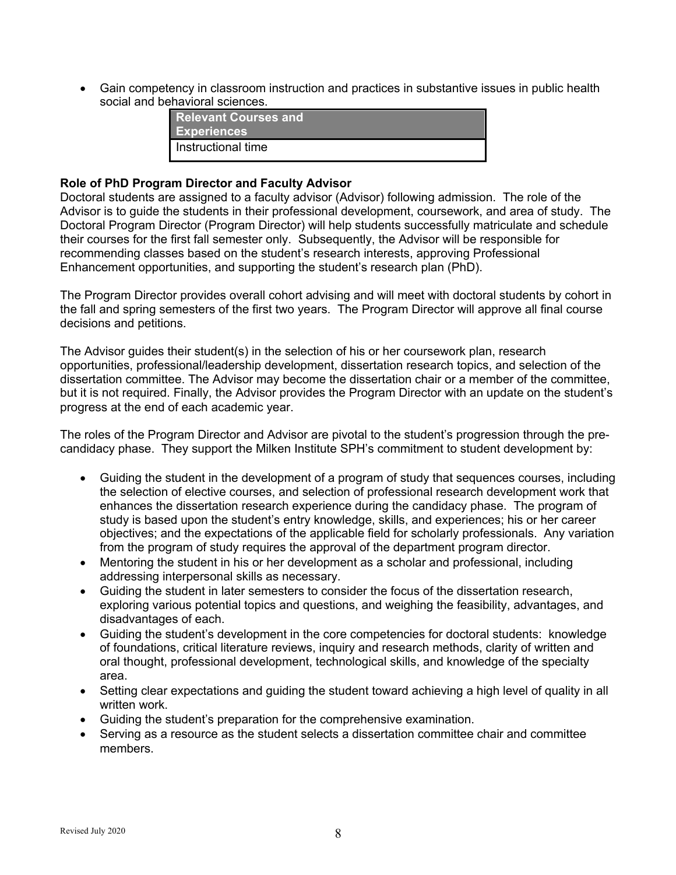• Gain competency in classroom instruction and practices in substantive issues in public health social and behavioral sciences.

| <b>Relevant Courses and</b><br><b>Experiences</b> |
|---------------------------------------------------|
| I Instructional time                              |

#### **Role of PhD Program Director and Faculty Advisor**

Doctoral students are assigned to a faculty advisor (Advisor) following admission. The role of the Advisor is to guide the students in their professional development, coursework, and area of study. The Doctoral Program Director (Program Director) will help students successfully matriculate and schedule their courses for the first fall semester only. Subsequently, the Advisor will be responsible for recommending classes based on the student's research interests, approving Professional Enhancement opportunities, and supporting the student's research plan (PhD).

The Program Director provides overall cohort advising and will meet with doctoral students by cohort in the fall and spring semesters of the first two years. The Program Director will approve all final course decisions and petitions.

The Advisor guides their student(s) in the selection of his or her coursework plan, research opportunities, professional/leadership development, dissertation research topics, and selection of the dissertation committee. The Advisor may become the dissertation chair or a member of the committee, but it is not required. Finally, the Advisor provides the Program Director with an update on the student's progress at the end of each academic year.

The roles of the Program Director and Advisor are pivotal to the student's progression through the precandidacy phase. They support the Milken Institute SPH's commitment to student development by:

- Guiding the student in the development of a program of study that sequences courses, including the selection of elective courses, and selection of professional research development work that enhances the dissertation research experience during the candidacy phase. The program of study is based upon the student's entry knowledge, skills, and experiences; his or her career objectives; and the expectations of the applicable field for scholarly professionals. Any variation from the program of study requires the approval of the department program director.
- Mentoring the student in his or her development as a scholar and professional, including addressing interpersonal skills as necessary.
- Guiding the student in later semesters to consider the focus of the dissertation research, exploring various potential topics and questions, and weighing the feasibility, advantages, and disadvantages of each.
- Guiding the student's development in the core competencies for doctoral students: knowledge of foundations, critical literature reviews, inquiry and research methods, clarity of written and oral thought, professional development, technological skills, and knowledge of the specialty area.
- Setting clear expectations and guiding the student toward achieving a high level of quality in all written work.
- Guiding the student's preparation for the comprehensive examination.
- Serving as a resource as the student selects a dissertation committee chair and committee members.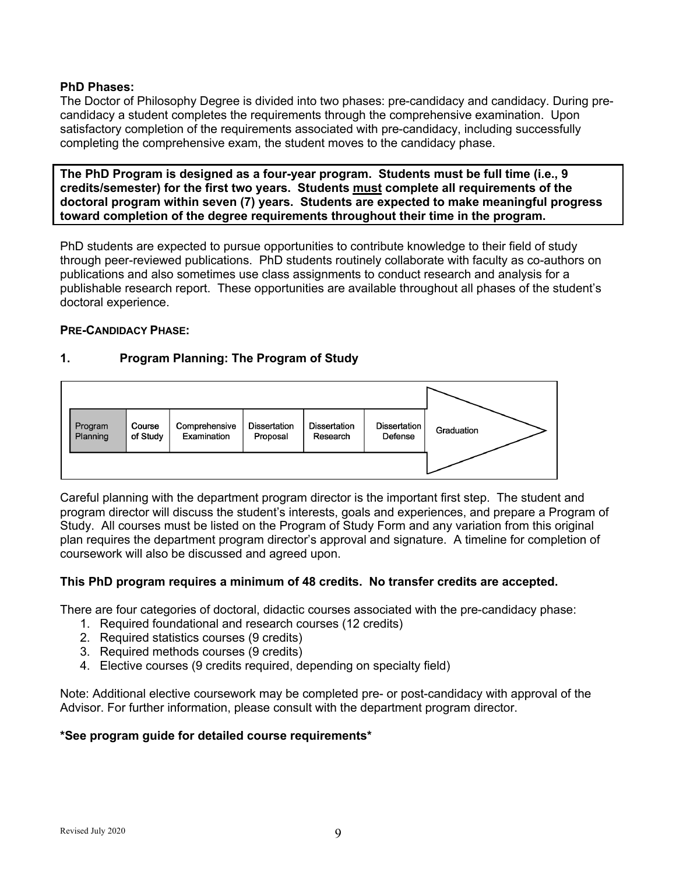## **PhD Phases:**

The Doctor of Philosophy Degree is divided into two phases: pre-candidacy and candidacy. During precandidacy a student completes the requirements through the comprehensive examination. Upon satisfactory completion of the requirements associated with pre-candidacy, including successfully completing the comprehensive exam, the student moves to the candidacy phase.

**The PhD Program is designed as a four-year program. Students must be full time (i.e., 9 credits/semester) for the first two years. Students must complete all requirements of the doctoral program within seven (7) years. Students are expected to make meaningful progress toward completion of the degree requirements throughout their time in the program.** 

PhD students are expected to pursue opportunities to contribute knowledge to their field of study through peer-reviewed publications. PhD students routinely collaborate with faculty as co-authors on publications and also sometimes use class assignments to conduct research and analysis for a publishable research report. These opportunities are available throughout all phases of the student's doctoral experience.

#### **PRE-CANDIDACY PHASE:**

## **1. Program Planning: The Program of Study**



Careful planning with the department program director is the important first step. The student and program director will discuss the student's interests, goals and experiences, and prepare a Program of Study. All courses must be listed on the Program of Study Form and any variation from this original plan requires the department program director's approval and signature. A timeline for completion of coursework will also be discussed and agreed upon.

## **This PhD program requires a minimum of 48 credits. No transfer credits are accepted.**

There are four categories of doctoral, didactic courses associated with the pre-candidacy phase:

- 1. Required foundational and research courses (12 credits)
- 2. Required statistics courses (9 credits)
- 3. Required methods courses (9 credits)
- 4. Elective courses (9 credits required, depending on specialty field)

Note: Additional elective coursework may be completed pre- or post-candidacy with approval of the Advisor. For further information, please consult with the department program director.

#### **\*See program guide for detailed course requirements\***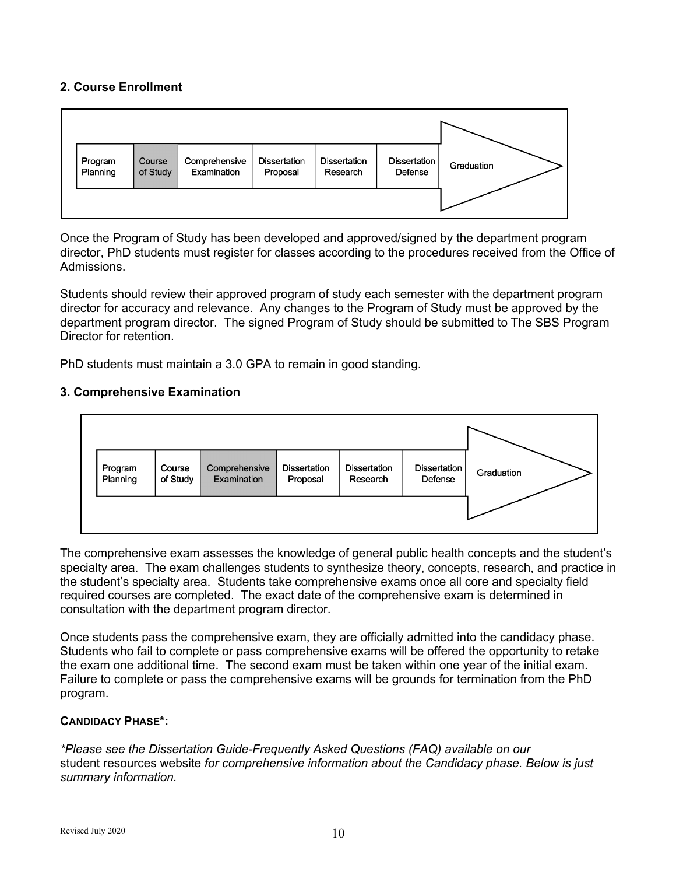## **2. Course Enrollment**



Once the Program of Study has been developed and approved/signed by the department program director, PhD students must register for classes according to the procedures received from the Office of Admissions.

Students should review their approved program of study each semester with the department program director for accuracy and relevance. Any changes to the Program of Study must be approved by the department program director. The signed Program of Study should be submitted to The SBS Program Director for retention.

PhD students must maintain a 3.0 GPA to remain in good standing.

## **3. Comprehensive Examination**



The comprehensive exam assesses the knowledge of general public health concepts and the student's specialty area. The exam challenges students to synthesize theory, concepts, research, and practice in the student's specialty area. Students take comprehensive exams once all core and specialty field required courses are completed. The exact date of the comprehensive exam is determined in consultation with the department program director.

Once students pass the comprehensive exam, they are officially admitted into the candidacy phase. Students who fail to complete or pass comprehensive exams will be offered the opportunity to retake the exam one additional time. The second exam must be taken within one year of the initial exam. Failure to complete or pass the comprehensive exams will be grounds for termination from the PhD program.

## **CANDIDACY PHASE\*:**

*\*Please see the Dissertation Guide-Frequently Asked Questions (FAQ) available on our*  student resources website *for comprehensive information about the Candidacy phase. Below is just summary information.*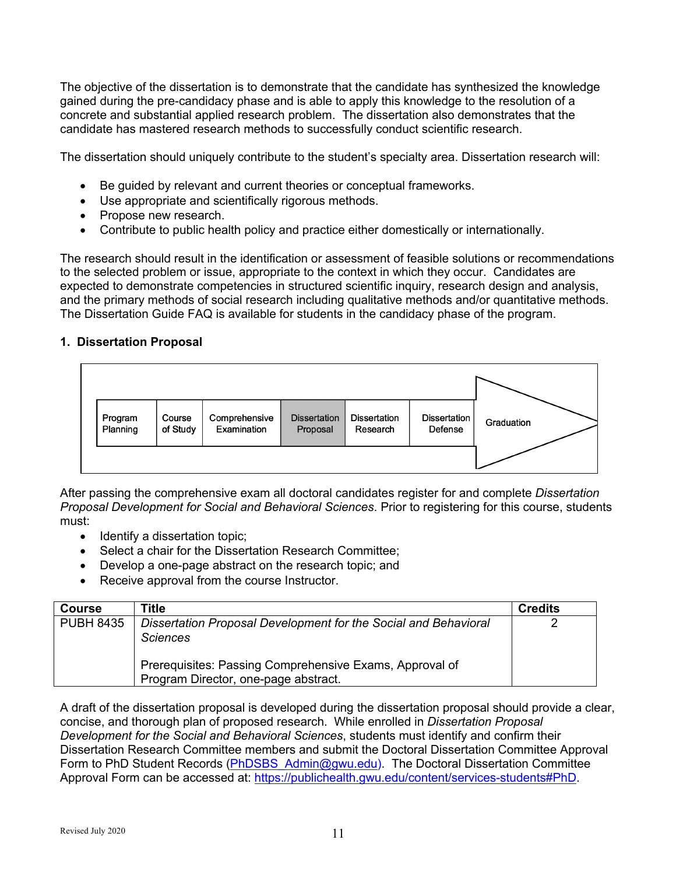The objective of the dissertation is to demonstrate that the candidate has synthesized the knowledge gained during the pre-candidacy phase and is able to apply this knowledge to the resolution of a concrete and substantial applied research problem. The dissertation also demonstrates that the candidate has mastered research methods to successfully conduct scientific research.

The dissertation should uniquely contribute to the student's specialty area. Dissertation research will:

- Be guided by relevant and current theories or conceptual frameworks.
- Use appropriate and scientifically rigorous methods.
- Propose new research.
- Contribute to public health policy and practice either domestically or internationally.

The research should result in the identification or assessment of feasible solutions or recommendations to the selected problem or issue, appropriate to the context in which they occur. Candidates are expected to demonstrate competencies in structured scientific inquiry, research design and analysis, and the primary methods of social research including qualitative methods and/or quantitative methods. The Dissertation Guide FAQ is available for students in the candidacy phase of the program.

## **1. Dissertation Proposal**



After passing the comprehensive exam all doctoral candidates register for and complete *Dissertation Proposal Development for Social and Behavioral Sciences*. Prior to registering for this course, students must:

- Identify a dissertation topic;
- Select a chair for the Dissertation Research Committee;
- Develop a one-page abstract on the research topic; and
- Receive approval from the course Instructor.

| <b>Course</b>    | Title                                                                                           | <b>Credits</b> |
|------------------|-------------------------------------------------------------------------------------------------|----------------|
| <b>PUBH 8435</b> | Dissertation Proposal Development for the Social and Behavioral<br><b>Sciences</b>              |                |
|                  | Prerequisites: Passing Comprehensive Exams, Approval of<br>Program Director, one-page abstract. |                |

A draft of the dissertation proposal is developed during the dissertation proposal should provide a clear, concise, and thorough plan of proposed research. While enrolled in *Dissertation Proposal Development for the Social and Behavioral Sciences*, students must identify and confirm their Dissertation Research Committee members and submit the Doctoral Dissertation Committee Approval Form to PhD Student Records (PhDSBS Admin@gwu.edu). The Doctoral Dissertation Committee Approval Form can be accessed at: https://publichealth.gwu.edu/content/services-students#PhD.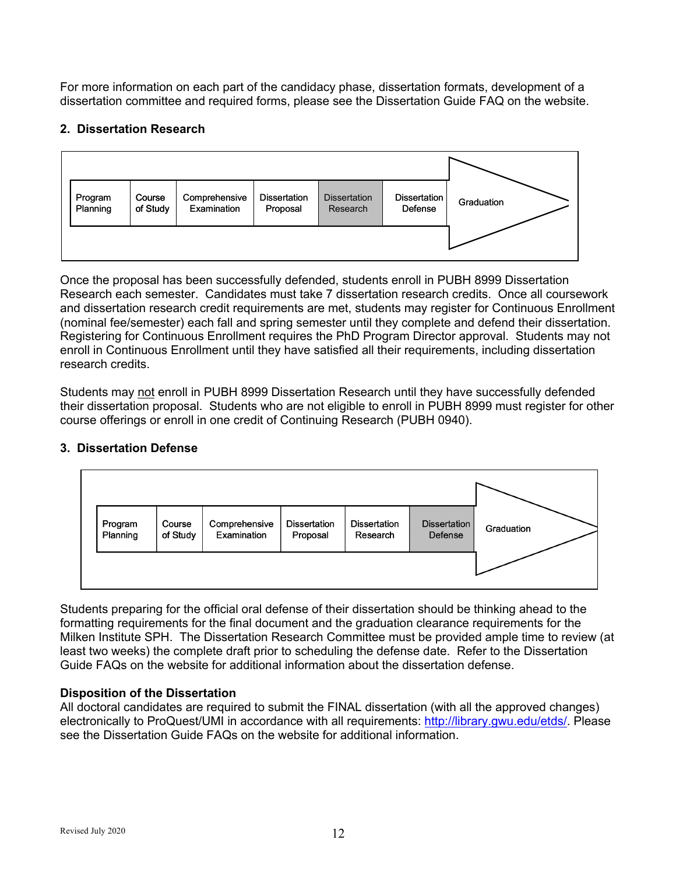For more information on each part of the candidacy phase, dissertation formats, development of a dissertation committee and required forms, please see the Dissertation Guide FAQ on the website.

## **2. Dissertation Research**



Once the proposal has been successfully defended, students enroll in PUBH 8999 Dissertation Research each semester. Candidates must take 7 dissertation research credits. Once all coursework and dissertation research credit requirements are met, students may register for Continuous Enrollment (nominal fee/semester) each fall and spring semester until they complete and defend their dissertation. Registering for Continuous Enrollment requires the PhD Program Director approval. Students may not enroll in Continuous Enrollment until they have satisfied all their requirements, including dissertation research credits.

Students may not enroll in PUBH 8999 Dissertation Research until they have successfully defended their dissertation proposal. Students who are not eligible to enroll in PUBH 8999 must register for other course offerings or enroll in one credit of Continuing Research (PUBH 0940).



# **3. Dissertation Defense**

Students preparing for the official oral defense of their dissertation should be thinking ahead to the formatting requirements for the final document and the graduation clearance requirements for the Milken Institute SPH. The Dissertation Research Committee must be provided ample time to review (at least two weeks) the complete draft prior to scheduling the defense date. Refer to the Dissertation Guide FAQs on the website for additional information about the dissertation defense.

# **Disposition of the Dissertation**

All doctoral candidates are required to submit the FINAL dissertation (with all the approved changes) electronically to ProQuest/UMI in accordance with all requirements: http://library.gwu.edu/etds/. Please see the Dissertation Guide FAQs on the website for additional information.